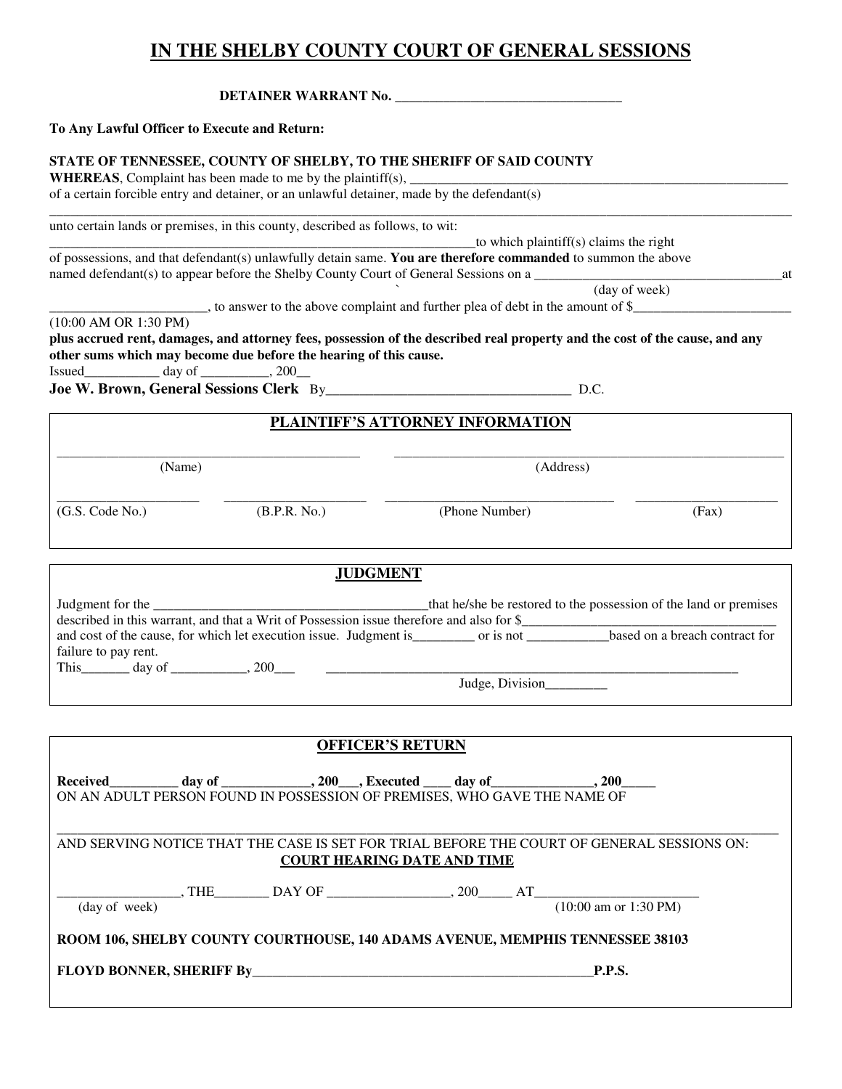# **IN THE SHELBY COUNTY COURT OF GENERAL SESSIONS**

**DETAINER WARRANT No. \_\_\_\_\_\_\_\_\_\_\_\_\_\_\_\_\_\_\_\_\_\_\_\_\_\_\_\_\_\_\_\_\_** 

#### **To Any Lawful Officer to Execute and Return:**

#### **STATE OF TENNESSEE, COUNTY OF SHELBY, TO THE SHERIFF OF SAID COUNTY**

**WHEREAS**, Complaint has been made to me by the plaintiff(s),  $\overline{\phantom{a}}$ of a certain forcible entry and detainer, or an unlawful detainer, made by the defendant(s)

\_\_\_\_\_\_\_\_\_\_\_\_\_\_\_\_\_\_\_\_\_\_\_\_\_\_\_\_\_\_\_\_\_\_\_\_\_\_\_\_\_\_\_\_\_\_\_\_\_\_\_\_\_\_\_\_\_\_\_\_\_\_\_\_\_\_\_\_\_\_\_\_\_\_\_\_\_\_\_\_\_\_\_\_\_\_\_\_\_\_\_\_\_\_\_\_\_\_\_\_\_\_\_\_\_\_\_\_ unto certain lands or premises, in this county, described as follows, to wit:

 $_$ rto which plaintiff(s) claims the right of possessions, and that defendant(s) unlawfully detain same. **You are therefore commanded** to summon the above named defendant(s) to appear before the Shelby County Court of General Sessions on a \_\_\_\_\_\_\_\_\_\_\_\_\_\_\_\_\_\_\_\_\_\_\_\_\_\_\_\_\_\_\_\_\_\_\_\_at

\_\_\_\_\_\_\_\_\_\_\_\_\_\_\_\_\_\_\_\_\_\_\_, to answer to the above complaint and further plea of debt in the amount of \$\_\_\_\_\_\_\_\_\_\_\_\_\_\_\_\_\_\_\_\_\_\_\_

` (day of week)

(10:00 AM OR 1:30 PM)

**plus accrued rent, damages, and attorney fees, possession of the described real property and the cost of the cause, and any other sums which may become due before the hearing of this cause.**

 $\frac{1}{\text{Issued}}$  day of  $\frac{1}{\text{Issued}}$ , 200

**Joe W. Brown, General Sessions Clerk** By\_\_\_\_\_\_\_\_\_\_\_\_\_\_\_\_\_\_\_\_\_\_\_\_\_\_\_\_\_\_\_\_\_\_\_\_ D.C.

## **PLAINTIFF'S ATTORNEY INFORMATION**

\_\_\_\_\_\_\_\_\_\_\_\_\_\_\_\_\_\_\_\_\_\_\_\_\_\_\_\_\_\_\_\_\_\_\_\_\_\_\_\_\_\_\_\_\_\_\_\_\_ \_\_\_\_\_\_\_\_\_\_\_\_\_\_\_\_\_\_\_\_\_\_\_\_\_\_\_\_\_\_\_\_\_\_\_\_\_\_\_\_\_\_\_\_\_\_\_\_\_\_\_\_\_\_\_\_\_\_\_\_\_\_\_

\_\_\_\_\_\_\_\_\_\_\_\_\_\_\_\_\_\_\_\_\_\_\_ \_\_\_\_\_\_\_\_\_\_\_\_\_\_\_\_\_\_\_\_\_\_\_ \_\_\_\_\_\_\_\_\_\_\_\_\_\_\_\_\_\_\_\_\_\_\_\_\_\_\_\_\_\_\_\_\_\_\_\_\_ \_\_\_\_\_\_\_\_\_\_\_\_\_\_\_\_\_\_\_\_\_\_\_

(Name) (Address)

(G.S. Code No.) (B.P.R. No.) (Phone Number) (Fax)

#### **JUDGMENT**

| Judgment for the                                                                                               | that he/she be restored to the possession of the land or premises |
|----------------------------------------------------------------------------------------------------------------|-------------------------------------------------------------------|
| described in this warrant, and that a Writ of Possession issue therefore and also for \$                       |                                                                   |
| and cost of the cause, for which let execution issue. Judgment is which has no set of the cause, for which let | based on a breach contract for<br>or is not                       |
| failure to pay rent.                                                                                           |                                                                   |
| This<br>200<br>day of                                                                                          |                                                                   |
|                                                                                                                | Judge, Division                                                   |

**OFFICER'S RETURN Received\_\_\_\_\_\_\_\_\_\_ day of \_\_\_\_\_\_\_\_\_\_\_\_\_, 200\_\_\_, Executed \_\_\_\_ day of\_\_\_\_\_\_\_\_\_\_\_\_\_\_\_, 200\_\_\_\_\_**  ON AN ADULT PERSON FOUND IN POSSESSION OF PREMISES, WHO GAVE THE NAME OF \_\_\_\_\_\_\_\_\_\_\_\_\_\_\_\_\_\_\_\_\_\_\_\_\_\_\_\_\_\_\_\_\_\_\_\_\_\_\_\_\_\_\_\_\_\_\_\_\_\_\_\_\_\_\_\_\_\_\_\_\_\_\_\_\_\_\_\_\_\_\_\_\_\_\_\_\_\_\_\_\_\_\_\_\_\_\_\_\_\_\_\_\_\_\_\_\_\_\_\_\_\_\_\_\_ AND SERVING NOTICE THAT THE CASE IS SET FOR TRIAL BEFORE THE COURT OF GENERAL SESSIONS ON:  **COURT HEARING DATE AND TIME**  \_\_\_\_\_\_\_\_\_\_\_\_\_\_\_\_\_\_, THE\_\_\_\_\_\_\_\_ DAY OF \_\_\_\_\_\_\_\_\_\_\_\_\_\_\_\_\_\_, 200\_\_\_\_\_ AT\_\_\_\_\_\_\_\_\_\_\_\_\_\_\_\_\_\_\_\_\_\_\_\_  $\frac{1}{(10:00 \text{ am or } 1:30 \text{ PM})}$  (10:00 am or 1:30 PM) **ROOM 106, SHELBY COUNTY COURTHOUSE, 140 ADAMS AVENUE, MEMPHIS TENNESSEE 38103**  FLOYD BONNER, SHERIFF By **FLOYD** BONNER, SHERIFF By